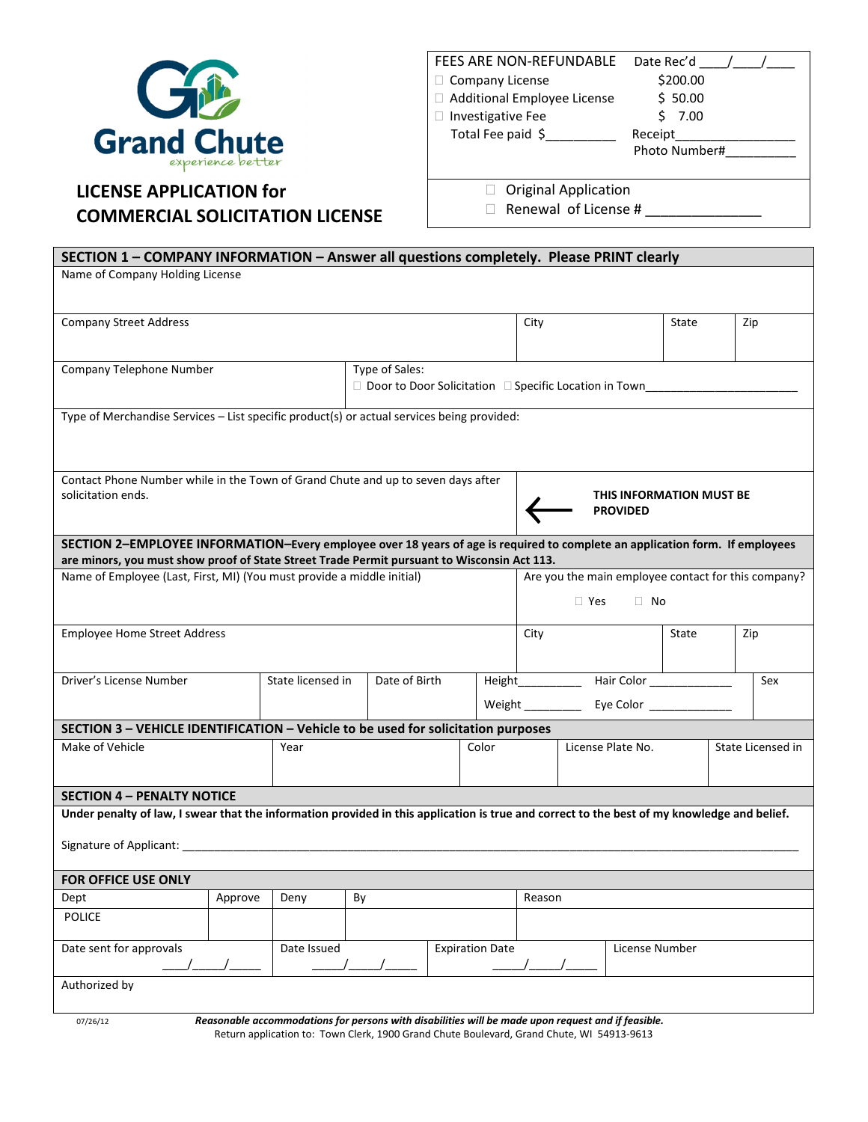

## LICENSE APPLICATION for COMMERCIAL SOLICITATION LICENSE

| FEES ARE NON-REFUNDABLE     | Date Rec'd    |
|-----------------------------|---------------|
| Company License             | \$200.00      |
| Additional Employee License | \$50.00       |
| Investigative Fee           | 7.00          |
| Total Fee paid \$           | Receipt       |
|                             | Photo Number# |

Original Application

Renewal of License #\_\_\_\_\_

| SECTION 1 - COMPANY INFORMATION - Answer all questions completely. Please PRINT clearly                                                                                                                                        |         |                   |               |  |                        |                                                     |     |                |                   |  |     |  |
|--------------------------------------------------------------------------------------------------------------------------------------------------------------------------------------------------------------------------------|---------|-------------------|---------------|--|------------------------|-----------------------------------------------------|-----|----------------|-------------------|--|-----|--|
| Name of Company Holding License                                                                                                                                                                                                |         |                   |               |  |                        |                                                     |     |                |                   |  |     |  |
|                                                                                                                                                                                                                                |         |                   |               |  |                        |                                                     |     |                |                   |  |     |  |
| <b>Company Street Address</b>                                                                                                                                                                                                  |         |                   |               |  |                        | City                                                |     |                | State             |  | Zip |  |
|                                                                                                                                                                                                                                |         |                   |               |  |                        |                                                     |     |                |                   |  |     |  |
|                                                                                                                                                                                                                                |         |                   |               |  |                        |                                                     |     |                |                   |  |     |  |
| Type of Sales:<br>Company Telephone Number                                                                                                                                                                                     |         |                   |               |  |                        |                                                     |     |                |                   |  |     |  |
| Door to Door Solicitation                                                                                                                                                                                                      |         |                   |               |  |                        | Specific Location in Town                           |     |                |                   |  |     |  |
| Type of Merchandise Services - List specific product(s) or actual services being provided:                                                                                                                                     |         |                   |               |  |                        |                                                     |     |                |                   |  |     |  |
|                                                                                                                                                                                                                                |         |                   |               |  |                        |                                                     |     |                |                   |  |     |  |
|                                                                                                                                                                                                                                |         |                   |               |  |                        |                                                     |     |                |                   |  |     |  |
|                                                                                                                                                                                                                                |         |                   |               |  |                        |                                                     |     |                |                   |  |     |  |
| Contact Phone Number while in the Town of Grand Chute and up to seven days after<br>solicitation ends.<br>THIS INFORMATION MUST BE                                                                                             |         |                   |               |  |                        |                                                     |     |                |                   |  |     |  |
|                                                                                                                                                                                                                                |         |                   |               |  |                        | <b>PROVIDED</b>                                     |     |                |                   |  |     |  |
| SECTION 2-EMPLOYEE INFORMATION-Every employee over 18 years of age is required to complete an application form. If employees                                                                                                   |         |                   |               |  |                        |                                                     |     |                |                   |  |     |  |
|                                                                                                                                                                                                                                |         |                   |               |  |                        |                                                     |     |                |                   |  |     |  |
| are minors, you must show proof of State Street Trade Permit pursuant to Wisconsin Act 113.<br>Name of Employee (Last, First, MI) (You must provide a middle initial)                                                          |         |                   |               |  |                        | Are you the main employee contact for this company? |     |                |                   |  |     |  |
|                                                                                                                                                                                                                                |         |                   |               |  |                        |                                                     |     |                |                   |  |     |  |
|                                                                                                                                                                                                                                |         |                   |               |  |                        |                                                     | Yes | No             |                   |  |     |  |
| <b>Employee Home Street Address</b>                                                                                                                                                                                            |         |                   |               |  | City<br>State<br>Zip   |                                                     |     |                |                   |  |     |  |
|                                                                                                                                                                                                                                |         |                   |               |  |                        |                                                     |     |                |                   |  |     |  |
|                                                                                                                                                                                                                                |         |                   |               |  |                        |                                                     |     |                |                   |  |     |  |
| Driver's License Number                                                                                                                                                                                                        |         | State licensed in | Date of Birth |  |                        |                                                     | Sex |                |                   |  |     |  |
|                                                                                                                                                                                                                                |         |                   |               |  |                        |                                                     |     |                |                   |  |     |  |
| SECTION 3 - VEHICLE IDENTIFICATION - Vehicle to be used for solicitation purposes                                                                                                                                              |         |                   |               |  |                        |                                                     |     |                |                   |  |     |  |
| Make of Vehicle                                                                                                                                                                                                                |         | Year              | Color         |  |                        | License Plate No.                                   |     |                | State Licensed in |  |     |  |
|                                                                                                                                                                                                                                |         |                   |               |  |                        |                                                     |     |                |                   |  |     |  |
|                                                                                                                                                                                                                                |         |                   |               |  |                        |                                                     |     |                |                   |  |     |  |
| <b>SECTION 4 - PENALTY NOTICE</b><br>Under penalty of law, I swear that the information provided in this application is true and correct to the best of my knowledge and belief.                                               |         |                   |               |  |                        |                                                     |     |                |                   |  |     |  |
|                                                                                                                                                                                                                                |         |                   |               |  |                        |                                                     |     |                |                   |  |     |  |
| Signature of Applicant: Sample of Applicant of Applicant of Applicant of Applicant of Applicant of Applicant of Applicant of Applicant of Applicant of Applicant of Applicant of Applicant of Applicant of Applicant of Applic |         |                   |               |  |                        |                                                     |     |                |                   |  |     |  |
|                                                                                                                                                                                                                                |         |                   |               |  |                        |                                                     |     |                |                   |  |     |  |
| <b>FOR OFFICE USE ONLY</b>                                                                                                                                                                                                     |         |                   |               |  |                        |                                                     |     |                |                   |  |     |  |
| Dept                                                                                                                                                                                                                           | Approve | Deny              | By            |  |                        | Reason                                              |     |                |                   |  |     |  |
| <b>POLICE</b>                                                                                                                                                                                                                  |         |                   |               |  |                        |                                                     |     |                |                   |  |     |  |
| Date sent for approvals                                                                                                                                                                                                        |         | Date Issued       |               |  | <b>Expiration Date</b> |                                                     |     | License Number |                   |  |     |  |
|                                                                                                                                                                                                                                |         |                   |               |  |                        |                                                     |     |                |                   |  |     |  |
| Authorized by                                                                                                                                                                                                                  |         |                   |               |  |                        |                                                     |     |                |                   |  |     |  |
|                                                                                                                                                                                                                                |         |                   |               |  |                        |                                                     |     |                |                   |  |     |  |
|                                                                                                                                                                                                                                |         |                   |               |  |                        |                                                     |     |                |                   |  |     |  |

07/26/12 Reasonable accommodations for persons with disabilities will be made upon request and if feasible. Return application to: Town Clerk, 1900 Grand Chute Boulevard, Grand Chute, WI 54913-9613